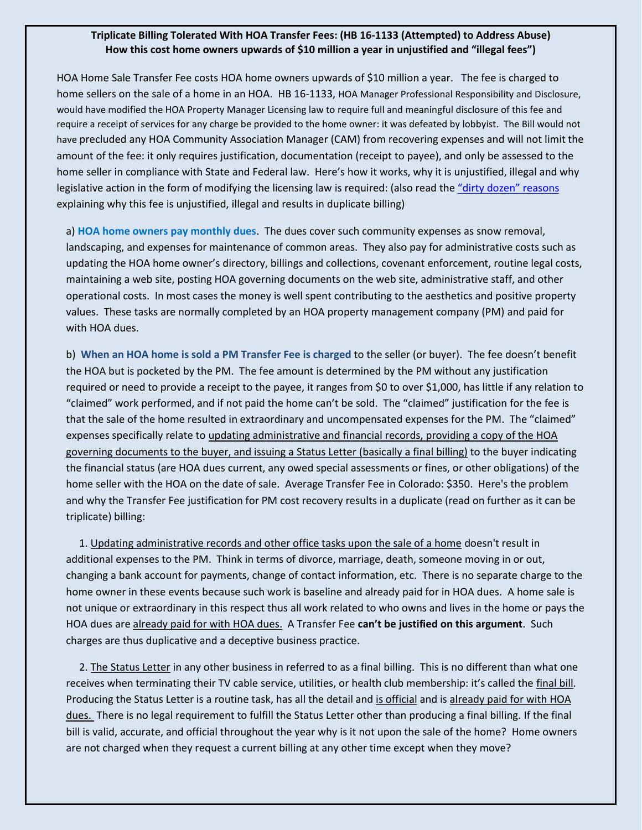## **Triplicate Billing Tolerated With HOA Transfer Fees: (HB 16-1133 (Attempted) to Address Abuse) How this cost home owners upwards of \$10 million a year in unjustified and "illegal fees")**

HOA Home Sale Transfer Fee costs HOA home owners upwards of \$10 million a year. The fee is charged to home sellers on the sale of a home in an HOA. HB 16-1133, HOA Manager Professional Responsibility and Disclosure, would have modified the HOA Property Manager Licensing law to require full and meaningful disclosure of this fee and require a receipt of services for any charge be provided to the home owner: it was defeated by lobbyist. The Bill would not have precluded any HOA Community Association Manager (CAM) from recovering expenses and will not limit the amount of the fee: it only requires justification, documentation (receipt to payee), and only be assessed to the home seller in compliance with State and Federal law. Here's how it works, why it is unjustified, illegal and why legislative action in the form of modifying the licensing law is required: (also read the "d[irty dozen](http://www.coloradohoaforum.com/files/transfer_fee_dirty_dozen2.pdf)" reasons explaining why this fee is unjustified, illegal and results in duplicate billing)

a) **HOA home owners pay monthly dues**. The dues cover such community expenses as snow removal, landscaping, and expenses for maintenance of common areas. They also pay for administrative costs such as updating the HOA home owner's directory, billings and collections, covenant enforcement, routine legal costs, maintaining a web site, posting HOA governing documents on the web site, administrative staff, and other operational costs. In most cases the money is well spent contributing to the aesthetics and positive property values. These tasks are normally completed by an HOA property management company (PM) and paid for with HOA dues.

b) **When an HOA home is sold a PM Transfer Fee is charged** to the seller (or buyer). The fee doesn't benefit the HOA but is pocketed by the PM. The fee amount is determined by the PM without any justification required or need to provide a receipt to the payee, it ranges from \$0 to over \$1,000, has little if any relation to "claimed" work performed, and if not paid the home can't be sold. The "claimed" justification for the fee is that the sale of the home resulted in extraordinary and uncompensated expenses for the PM. The "claimed" expenses specifically relate to updating administrative and financial records, providing a copy of the HOA governing documents to the buyer, and issuing a Status Letter (basically a final billing) to the buyer indicating the financial status (are HOA dues current, any owed special assessments or fines, or other obligations) of the home seller with the HOA on the date of sale. Average Transfer Fee in Colorado: \$350. Here's the problem and why the Transfer Fee justification for PM cost recovery results in a duplicate (read on further as it can be triplicate) billing:

 1. Updating administrative records and other office tasks upon the sale of a home doesn't result in additional expenses to the PM. Think in terms of divorce, marriage, death, someone moving in or out, changing a bank account for payments, change of contact information, etc. There is no separate charge to the home owner in these events because such work is baseline and already paid for in HOA dues. A home sale is not unique or extraordinary in this respect thus all work related to who owns and lives in the home or pays the HOA dues are already paid for with HOA dues. A Transfer Fee **can't be justified on this argument**. Such charges are thus duplicative and a deceptive business practice.

 2. The Status Letter in any other business in referred to as a final billing. This is no different than what one receives when terminating their TV cable service, utilities, or health club membership: it's called the final bill. Producing the Status Letter is a routine task, has all the detail and is official and is already paid for with HOA dues. There is no legal requirement to fulfill the Status Letter other than producing a final billing. If the final bill is valid, accurate, and official throughout the year why is it not upon the sale of the home? Home owners are not charged when they request a current billing at any other time except when they move?